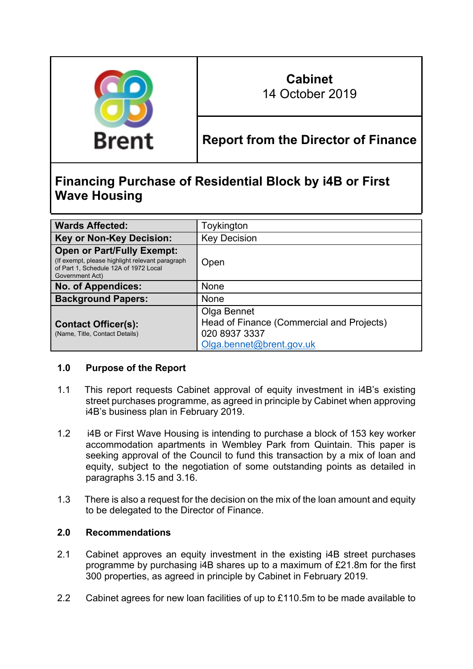

# **Cabinet** 14 October 2019

**Report from the Director of Finance**

# **Financing Purchase of Residential Block by i4B or First Wave Housing**

| <b>Wards Affected:</b>                                                                                                                            | Toykington                                                                                            |
|---------------------------------------------------------------------------------------------------------------------------------------------------|-------------------------------------------------------------------------------------------------------|
| <b>Key or Non-Key Decision:</b>                                                                                                                   | <b>Key Decision</b>                                                                                   |
| <b>Open or Part/Fully Exempt:</b><br>(If exempt, please highlight relevant paragraph)<br>of Part 1, Schedule 12A of 1972 Local<br>Government Act) | Open                                                                                                  |
| <b>No. of Appendices:</b>                                                                                                                         | <b>None</b>                                                                                           |
| <b>Background Papers:</b>                                                                                                                         | <b>None</b>                                                                                           |
| <b>Contact Officer(s):</b><br>(Name, Title, Contact Details)                                                                                      | Olga Bennet<br>Head of Finance (Commercial and Projects)<br>020 8937 3337<br>Olga.bennet@brent.gov.uk |

# **1.0 Purpose of the Report**

- 1.1 This report requests Cabinet approval of equity investment in i4B's existing street purchases programme, as agreed in principle by Cabinet when approving i4B's business plan in February 2019.
- 1.2 i4B or First Wave Housing is intending to purchase a block of 153 key worker accommodation apartments in Wembley Park from Quintain. This paper is seeking approval of the Council to fund this transaction by a mix of loan and equity, subject to the negotiation of some outstanding points as detailed in paragraphs 3.15 and 3.16.
- 1.3 There is also a request for the decision on the mix of the loan amount and equity to be delegated to the Director of Finance.

# **2.0 Recommendations**

- 2.1 Cabinet approves an equity investment in the existing i4B street purchases programme by purchasing i4B shares up to a maximum of £21.8m for the first 300 properties, as agreed in principle by Cabinet in February 2019.
- 2.2 Cabinet agrees for new loan facilities of up to £110.5m to be made available to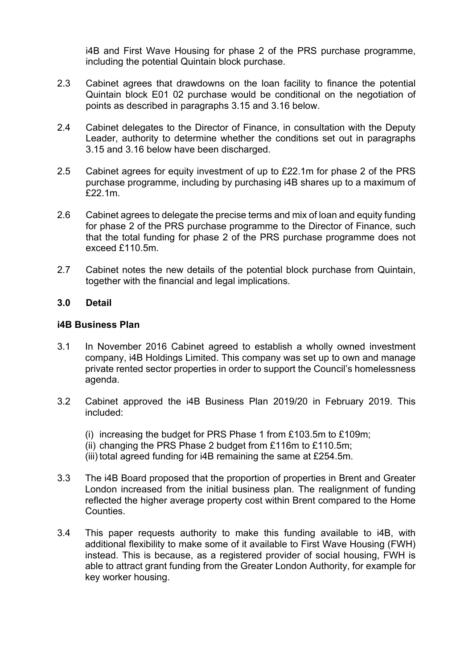i4B and First Wave Housing for phase 2 of the PRS purchase programme, including the potential Quintain block purchase.

- 2.3 Cabinet agrees that drawdowns on the loan facility to finance the potential Quintain block E01 02 purchase would be conditional on the negotiation of points as described in paragraphs 3.15 and 3.16 below.
- 2.4 Cabinet delegates to the Director of Finance, in consultation with the Deputy Leader, authority to determine whether the conditions set out in paragraphs 3.15 and 3.16 below have been discharged.
- 2.5 Cabinet agrees for equity investment of up to £22.1m for phase 2 of the PRS purchase programme, including by purchasing i4B shares up to a maximum of £22.1m.
- 2.6 Cabinet agrees to delegate the precise terms and mix of loan and equity funding for phase 2 of the PRS purchase programme to the Director of Finance, such that the total funding for phase 2 of the PRS purchase programme does not exceed £110.5m.
- 2.7 Cabinet notes the new details of the potential block purchase from Quintain, together with the financial and legal implications.

# **3.0 Detail**

#### **i4B Business Plan**

- 3.1 In November 2016 Cabinet agreed to establish a wholly owned investment company, i4B Holdings Limited. This company was set up to own and manage private rented sector properties in order to support the Council's homelessness agenda.
- 3.2 Cabinet approved the i4B Business Plan 2019/20 in February 2019. This included:
	- (i) increasing the budget for PRS Phase 1 from £103.5m to £109m;
	- (ii) changing the PRS Phase 2 budget from £116m to £110.5m;
	- (iii) total agreed funding for i4B remaining the same at £254.5m.
- 3.3 The i4B Board proposed that the proportion of properties in Brent and Greater London increased from the initial business plan. The realignment of funding reflected the higher average property cost within Brent compared to the Home Counties.
- 3.4 This paper requests authority to make this funding available to i4B, with additional flexibility to make some of it available to First Wave Housing (FWH) instead. This is because, as a registered provider of social housing, FWH is able to attract grant funding from the Greater London Authority, for example for key worker housing.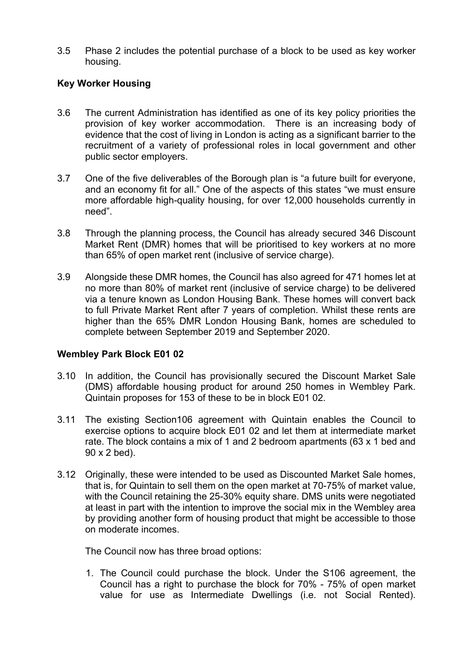3.5 Phase 2 includes the potential purchase of a block to be used as key worker housing.

# **Key Worker Housing**

- 3.6 The current Administration has identified as one of its key policy priorities the provision of key worker accommodation. There is an increasing body of evidence that the cost of living in London is acting as a significant barrier to the recruitment of a variety of professional roles in local government and other public sector employers.
- 3.7 One of the five deliverables of the Borough plan is "a future built for everyone, and an economy fit for all." One of the aspects of this states "we must ensure more affordable high-quality housing, for over 12,000 households currently in need".
- 3.8 Through the planning process, the Council has already secured 346 Discount Market Rent (DMR) homes that will be prioritised to key workers at no more than 65% of open market rent (inclusive of service charge).
- 3.9 Alongside these DMR homes, the Council has also agreed for 471 homes let at no more than 80% of market rent (inclusive of service charge) to be delivered via a tenure known as London Housing Bank. These homes will convert back to full Private Market Rent after 7 years of completion. Whilst these rents are higher than the 65% DMR London Housing Bank, homes are scheduled to complete between September 2019 and September 2020.

# **Wembley Park Block E01 02**

- 3.10 In addition, the Council has provisionally secured the Discount Market Sale (DMS) affordable housing product for around 250 homes in Wembley Park. Quintain proposes for 153 of these to be in block E01 02.
- 3.11 The existing Section106 agreement with Quintain enables the Council to exercise options to acquire block E01 02 and let them at intermediate market rate. The block contains a mix of 1 and 2 bedroom apartments (63 x 1 bed and 90 x 2 bed).
- 3.12 Originally, these were intended to be used as Discounted Market Sale homes, that is, for Quintain to sell them on the open market at 70-75% of market value, with the Council retaining the 25-30% equity share. DMS units were negotiated at least in part with the intention to improve the social mix in the Wembley area by providing another form of housing product that might be accessible to those on moderate incomes.

The Council now has three broad options:

1. The Council could purchase the block. Under the S106 agreement, the Council has a right to purchase the block for 70% - 75% of open market value for use as Intermediate Dwellings (i.e. not Social Rented).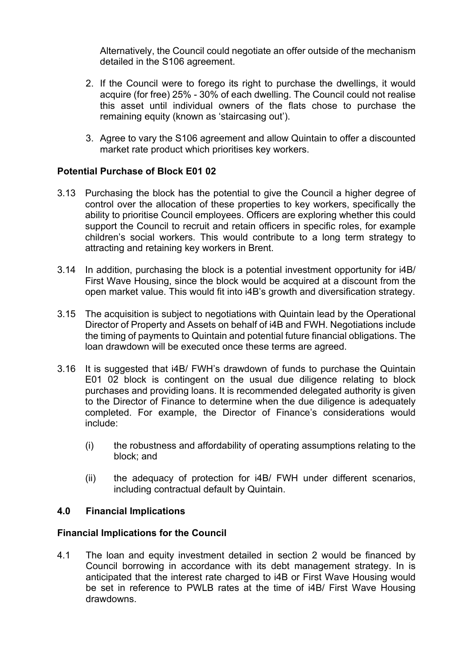Alternatively, the Council could negotiate an offer outside of the mechanism detailed in the S106 agreement.

- 2. If the Council were to forego its right to purchase the dwellings, it would acquire (for free) 25% - 30% of each dwelling. The Council could not realise this asset until individual owners of the flats chose to purchase the remaining equity (known as 'staircasing out').
- 3. Agree to vary the S106 agreement and allow Quintain to offer a discounted market rate product which prioritises key workers.

# **Potential Purchase of Block E01 02**

- 3.13 Purchasing the block has the potential to give the Council a higher degree of control over the allocation of these properties to key workers, specifically the ability to prioritise Council employees. Officers are exploring whether this could support the Council to recruit and retain officers in specific roles, for example children's social workers. This would contribute to a long term strategy to attracting and retaining key workers in Brent.
- 3.14 In addition, purchasing the block is a potential investment opportunity for i4B/ First Wave Housing, since the block would be acquired at a discount from the open market value. This would fit into i4B's growth and diversification strategy.
- 3.15 The acquisition is subject to negotiations with Quintain lead by the Operational Director of Property and Assets on behalf of i4B and FWH. Negotiations include the timing of payments to Quintain and potential future financial obligations. The loan drawdown will be executed once these terms are agreed.
- 3.16 It is suggested that i4B/ FWH's drawdown of funds to purchase the Quintain E01 02 block is contingent on the usual due diligence relating to block purchases and providing loans. It is recommended delegated authority is given to the Director of Finance to determine when the due diligence is adequately completed. For example, the Director of Finance's considerations would include:
	- (i) the robustness and affordability of operating assumptions relating to the block; and
	- (ii) the adequacy of protection for i4B/ FWH under different scenarios, including contractual default by Quintain.

# **4.0 Financial Implications**

# **Financial Implications for the Council**

4.1 The loan and equity investment detailed in section 2 would be financed by Council borrowing in accordance with its debt management strategy. In is anticipated that the interest rate charged to i4B or First Wave Housing would be set in reference to PWLB rates at the time of i4B/ First Wave Housing drawdowns.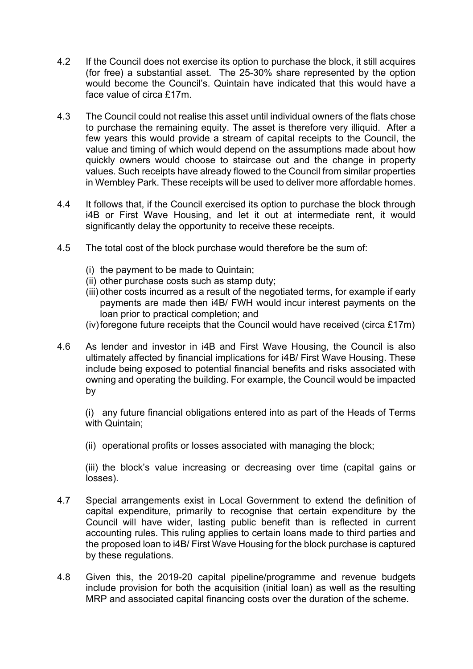- 4.2 If the Council does not exercise its option to purchase the block, it still acquires (for free) a substantial asset. The 25-30% share represented by the option would become the Council's. Quintain have indicated that this would have a face value of circa £17m.
- 4.3 The Council could not realise this asset until individual owners of the flats chose to purchase the remaining equity. The asset is therefore very illiquid. After a few years this would provide a stream of capital receipts to the Council, the value and timing of which would depend on the assumptions made about how quickly owners would choose to staircase out and the change in property values. Such receipts have already flowed to the Council from similar properties in Wembley Park. These receipts will be used to deliver more affordable homes.
- 4.4 It follows that, if the Council exercised its option to purchase the block through i4B or First Wave Housing, and let it out at intermediate rent, it would significantly delay the opportunity to receive these receipts.
- 4.5 The total cost of the block purchase would therefore be the sum of:
	- (i) the payment to be made to Quintain;
	- (ii) other purchase costs such as stamp duty;
	- (iii) other costs incurred as a result of the negotiated terms, for example if early payments are made then i4B/ FWH would incur interest payments on the loan prior to practical completion; and
	- (iv)foregone future receipts that the Council would have received (circa £17m)
- 4.6 As lender and investor in i4B and First Wave Housing, the Council is also ultimately affected by financial implications for i4B/ First Wave Housing. These include being exposed to potential financial benefits and risks associated with owning and operating the building. For example, the Council would be impacted by

(i) any future financial obligations entered into as part of the Heads of Terms with Quintain;

(ii) operational profits or losses associated with managing the block;

(iii) the block's value increasing or decreasing over time (capital gains or losses).

- 4.7 Special arrangements exist in Local Government to extend the definition of capital expenditure, primarily to recognise that certain expenditure by the Council will have wider, lasting public benefit than is reflected in current accounting rules. This ruling applies to certain loans made to third parties and the proposed loan to i4B/ First Wave Housing for the block purchase is captured by these regulations.
- 4.8 Given this, the 2019-20 capital pipeline/programme and revenue budgets include provision for both the acquisition (initial loan) as well as the resulting MRP and associated capital financing costs over the duration of the scheme.